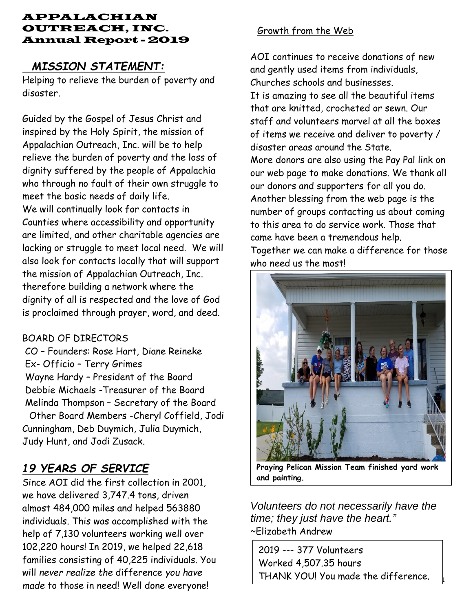#### APPALACHIAN OUTREACH, INC. Annual Report - 2019

## *MISSION STATEMENT:*

Helping to relieve the burden of poverty and disaster.

Guided by the Gospel of Jesus Christ and inspired by the Holy Spirit, the mission of Appalachian Outreach, Inc. will be to help relieve the burden of poverty and the loss of dignity suffered by the people of Appalachia who through no fault of their own struggle to meet the basic needs of daily life. We will continually look for contacts in Counties where accessibility and opportunity are limited, and other charitable agencies are lacking or struggle to meet local need. We will also look for contacts locally that will support the mission of Appalachian Outreach, Inc. therefore building a network where the dignity of all is respected and the love of God is proclaimed through prayer, word, and deed.

### BOARD OF DIRECTORS

CO – Founders: Rose Hart, Diane Reineke Ex- Officio – Terry Grimes Wayne Hardy – President of the Board Debbie Michaels -Treasurer of the Board Melinda Thompson – Secretary of the Board Other Board Members -Cheryl Coffield, Jodi

Cunningham, Deb Duymich, Julia Duymich, Judy Hunt, and Jodi Zusack.

# *19 YEARS OF SERVICE*

Since AOI did the first collection in 2001, we have delivered 3,747.4 tons, driven almost 484,000 miles and helped 563880 individuals. This was accomplished with the help of 7,130 volunteers working well over 102,220 hours! In 2019, we helped 22,618 families consisting of 40,225 individuals. You will *never realize the* difference *you have made* to those in need! Well done everyone!

## Growth from the Web

AOI continues to receive donations of new and gently used items from individuals, Churches schools and businesses.

It is amazing to see all the beautiful items that are knitted, crocheted or sewn. Our staff and volunteers marvel at all the boxes of items we receive and deliver to poverty / disaster areas around the State.

More donors are also using the Pay Pal link on our web page to make donations. We thank all our donors and supporters for all you do. Another blessing from the web page is the number of groups contacting us about coming to this area to do service work. Those that came have been a tremendous help.

Together we can make a difference for those who need us the most!



**Praying Pelican Mission Team finished yard work and painting.**

*Volunteers do not necessarily have the time; they just have the heart."* ~Elizabeth Andrew

**Page 1** THANK YOU! You made the difference.2019 --- 377 Volunteers Worked 4,507.35 hours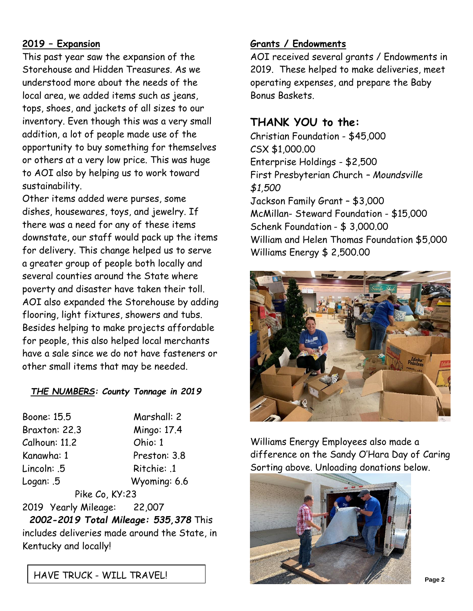## **2019 – Expansion**

This past year saw the expansion of the Storehouse and Hidden Treasures. As we understood more about the needs of the local area, we added items such as jeans, tops, shoes, and jackets of all sizes to our inventory. Even though this was a very small addition, a lot of people made use of the opportunity to buy something for themselves or others at a very low price. This was huge to AOI also by helping us to work toward sustainability.

Other items added were purses, some dishes, housewares, toys, and jewelry. If there was a need for any of these items downstate, our staff would pack up the items for delivery. This change helped us to serve a greater group of people both locally and several counties around the State where poverty and disaster have taken their toll. AOI also expanded the Storehouse by adding flooring, light fixtures, showers and tubs. Besides helping to make projects affordable for people, this also helped local merchants have a sale since we do not have fasteners or other small items that may be needed.

#### *THE NUMBERS: County Tonnage in 2019*

| Boone: 15.5                 | Marshall: 2  |
|-----------------------------|--------------|
| Braxton: 22.3               | Mingo: 17.4  |
| Calhoun: 11.2               | Ohio: 1      |
| Kanawha: 1                  | Preston: 3.8 |
| Lincoln: .5                 | Ritchie: .1  |
| Logan: .5                   | Wyoming: 6.6 |
| Pike Co, KY:23              |              |
| 2019 Yearly Mileage: 22,007 |              |

*2002-2019 Total Mileage: 535,378* This includes deliveries made around the State, in Kentucky and locally!

**Grants / Endowments**

AOI received several grants / Endowments in 2019. These helped to make deliveries, meet operating expenses, and prepare the Baby Bonus Baskets.

### **THANK YOU to the:**

Christian Foundation - \$45,000 CSX \$1,000.00 Enterprise Holdings - \$2,500 First Presbyterian Church *– Moundsville \$1,500* Jackson Family Grant – \$3,000 McMillan- Steward Foundation - \$15,000 Schenk Foundation - \$ 3,000.00 William and Helen Thomas Foundation \$5,000 Williams Energy \$ 2,500.00



Williams Energy Employees also made a difference on the Sandy O'Hara Day of Caring Sorting above. Unloading donations below.

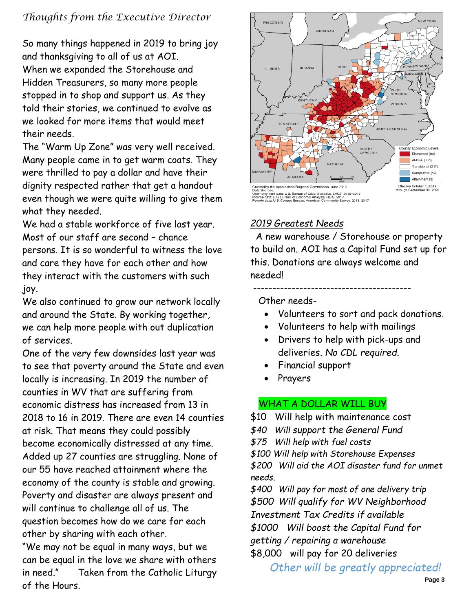## *Thoughts from the Executive Director*

So many things happened in 2019 to bring joy and thanksgiving to all of us at AOI. When we expanded the Storehouse and Hidden Treasurers, so many more people stopped in to shop and support us. As they told their stories, we continued to evolve as we looked for more items that would meet their needs.

The "Warm Up Zone" was very well received. Many people came in to get warm coats. They were thrilled to pay a dollar and have their dignity respected rather that get a handout even though we were quite willing to give them what they needed.

We had a stable workforce of five last year. Most of our staff are second – chance persons. It is so wonderful to witness the love and care they have for each other and how they interact with the customers with such joy.

We also continued to grow our network locally and around the State. By working together, we can help more people with out duplication of services.

One of the very few downsides last year was to see that poverty around the State and even locally is increasing. In 2019 the number of counties in WV that are suffering from economic distress has increased from 13 in 2018 to 16 in 2019. There are even 14 counties at risk. That means they could possibly become economically distressed at any time. Added up 27 counties are struggling. None of our 55 have reached attainment where the economy of the county is stable and growing. Poverty and disaster are always present and will continue to challenge all of us. The question becomes how do we care for each other by sharing with each other.

"We may not be equal in many ways, but we can be equal in the love we share with others in need." Taken from the Catholic Liturgy of the Hours.



## *2019 Greatest Needs*

 A new warehouse / Storehouse or property to build on. AOI has a Capital Fund set up for this. Donations are always welcome and needed!

Other needs-

- Volunteers to sort and pack donations.
- Volunteers to help with mailings

-----------------------------------------

- Drivers to help with pick-ups and deliveries*. No CDL required.*
- Financial support
- **Prayers**

## WHAT A DOLLAR WILL BUY

\$10 Will help with maintenance cost

- *\$40 Will support the General Fund*
- *\$75 Will help with fuel costs*

*\$100 Will help with Storehouse Expenses \$200 Will aid the AOI disaster fund for unmet needs.*

*\$400 Will pay for most of one delivery trip \$500 Will qualify for WV Neighborhood Investment Tax Credits if available* 

*\$1000 Will boost the Capital Fund for* 

*getting / repairing a warehouse*

\$8,000 will pay for 20 deliveries

 *Other will be greatly appreciated!*